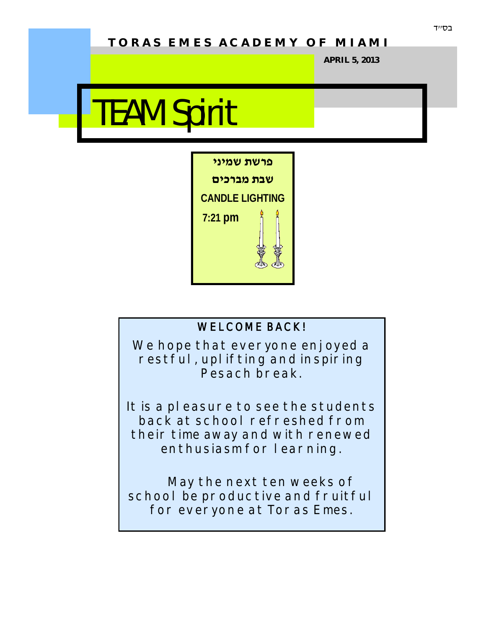# **T O R A S E M E S A C A D E M Y O F M I A M I**

**APRIL 5, 2013**

# TEAM Spirit



### **WELCOME BACK!**

**We hope that everyone enjoyed a restful, uplifting and inspiring Pesach break.** 

**It is a pleasure to see the students back at school refreshed from their time away and with renewed enthusiasm for learning.** 

**May the next ten weeks of school be productive and fruitful for everyone at Toras Emes.**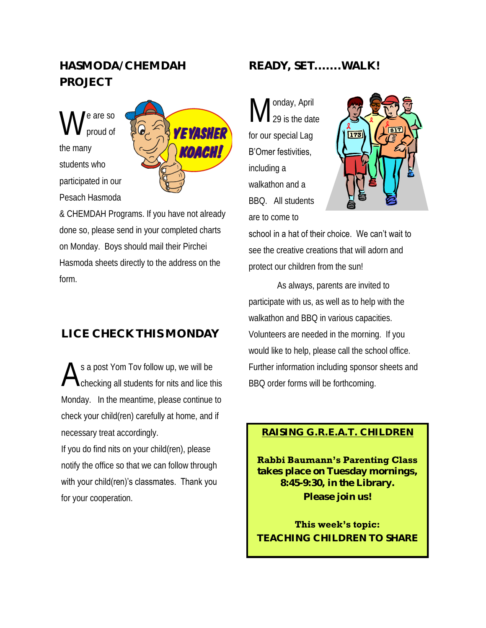# **HASMODA/CHEMDAH PROJECT**

W e are so proud of the many students who participated in our Pesach Hasmoda



& CHEMDAH Programs. If you have not already done so, please send in your completed charts on Monday. Boys should mail their Pirchei Hasmoda sheets directly to the address on the form.

# **LICE CHECK THIS MONDAY**

A s a post Yom Tov follow up, we will be checking all students for nits and lice this Monday. In the meantime, please continue to check your child(ren) carefully at home, and if necessary treat accordingly.

If you do find nits on your child(ren), please notify the office so that we can follow through with your child(ren)'s classmates. Thank you for your cooperation.

## **READY, SET.......WALK!**

M onday, April 29 is the date for our special Lag B'Omer festivities, including a walkathon and a BBQ. All students

are to come to



school in a hat of their choice. We can't wait to see the creative creations that will adorn and protect our children from the sun!

As always, parents are invited to participate with us, as well as to help with the walkathon and BBQ in various capacities. Volunteers are needed in the morning. If you would like to help, please call the school office. Further information including sponsor sheets and BBQ order forms will be forthcoming.

#### **RAISING G.R.E.A.T. CHILDREN**

**Rabbi Baumann's Parenting Class takes place on Tuesday mornings, 8:45-9:30, in the Library. Please join us!**

**This week's topic: TEACHING CHILDREN TO SHARE**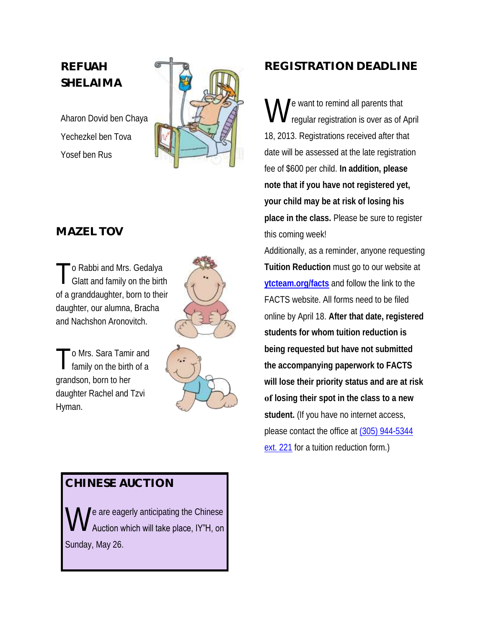## **REFUAH SHELAIMA**

Aharon Dovid ben Chaya Yechezkel ben Tova Yosef ben Rus



## **MAZEL TOV**

T o Rabbi and Mrs. Gedalya Glatt and family on the birth of a granddaughter, born to their daughter, our alumna, Bracha and Nachshon Aronovitch.



T o Mrs. Sara Tamir and family on the birth of a grandson, born to her daughter Rachel and Tzvi Hyman.



## **CHINESE AUCTION**

W e are eagerly anticipating the Chinese Auction which will take place, IY"H, on Sunday, May 26.

# **REGISTRATION DEADLINE**

W e want to remind all parents that regular registration is over as of April 18, 2013. Registrations received after that date will be assessed at the late registration fee of \$600 per child. **In addition, please note that if you have not registered yet, your child may be at risk of losing his place in the class.** Please be sure to register this coming week!

Additionally, as a reminder, anyone requesting **Tuition Reduction** must go to our website at **[ytcteam.org/facts](http://ytcteam.org/facts)** and follow the link to the FACTS website. All forms need to be filed online by April 18. **After that date, registered students for whom tuition reduction is being requested but have not submitted the accompanying paperwork to FACTS will lose their priority status and are at risk of losing their spot in the class to a new student.** (If you have no internet access, please contact the office at [\(305\) 944-5344](tel:%28305%29%20944-5344%20ext.%20221)  [ext. 221](tel:%28305%29%20944-5344%20ext.%20221) for a tuition reduction form.)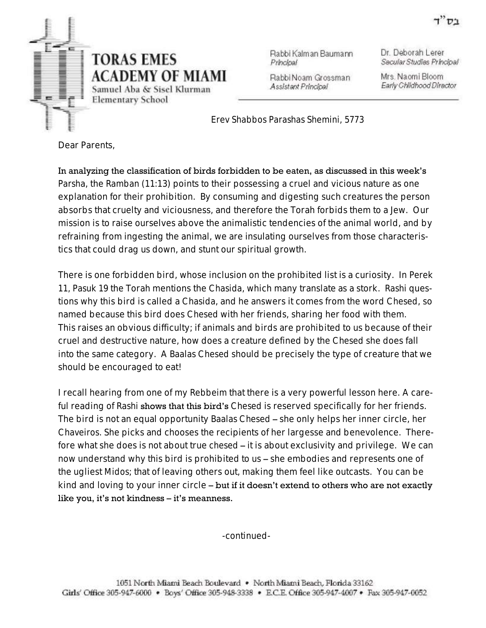

Rabbi Kalman Baumann Principal

Dr. Deborah Lerer Secular Studies Principal

Rabbi Noam Grossman Assistant Principal

Mrs. Naomi Bloom Early Childhood Director

 *Erev Shabbos Parashas Shemini, 5773*

Dear Parents,

In analyzing the classification of birds forbidden to be eaten, as discussed in this week's *Parsha*, the *Ramban* (11:13) points to their possessing a cruel and vicious nature as one explanation for their prohibition. By consuming and digesting such creatures the person absorbs that cruelty and viciousness, and therefore the Torah forbids them to a Jew. Our mission is to raise ourselves above the animalistic tendencies of the animal world, and by refraining from ingesting the animal, we are insulating ourselves from those characteristics that could drag us down, and stunt our spiritual growth.

There is one forbidden bird, whose inclusion on the prohibited list is a curiosity. In *Perek 11, Pasuk 19* the Torah mentions the *Chasida*, which many translate as a stork. *Rashi* questions why this bird is called a *Chasida*, and he answers it comes from the word *Chesed*, so named because this bird does *Chesed* with her friends, sharing her food with them. This raises an obvious difficulty; if animals and birds are prohibited to us because of their cruel and destructive nature, how does a creature defined by the *Chesed* she does fall into the same category. A *Baalas Chesed* should be precisely the type of creature that we should be encouraged to eat!

I recall hearing from one of my *Rebbeim* that there is a very powerful lesson here. A careful reading of *Rashi* shows that this bird's *Chesed* is reserved specifically for her friends. The bird is not an equal opportunity *Baalas Chesed* – she only helps her inner circle, her *Chaveiros.* She picks and chooses the recipients of her largesse and benevolence. Therefore what she does is not about true *chesed* – it is about exclusivity and privilege. We can now understand why this bird is prohibited to us – she embodies and represents one of the ugliest *Midos*; that of leaving others out, making them feel like outcasts. You can be kind and loving to your inner circle – but if it doesn't extend to others who are not exactly like you, it's not kindness – it's meanness.

-continued-